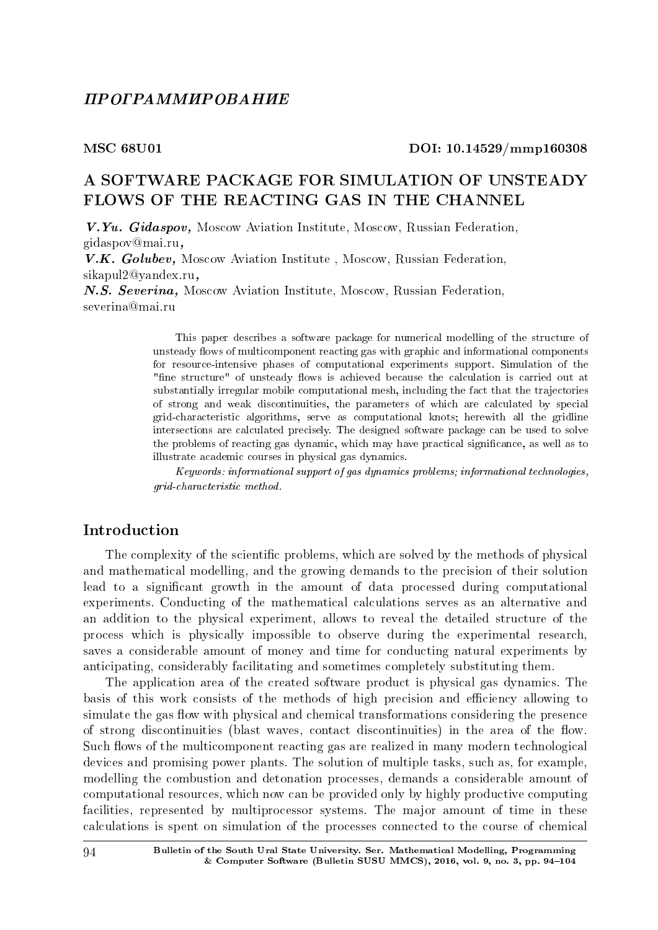#### MSC 68U01 DOI: 10.14529/mmp160308

# A SOFTWARE PACKAGE FOR SIMULATION OF UNSTEADY FLOWS OF THE REACTING GAS IN THE CHANNEL

V.Yu. Gidaspov, Moscow Aviation Institute, Moscow, Russian Federation, gidaspov@mai.ru,

V.K. Golubev, Moscow Aviation Institute , Moscow, Russian Federation, sikapul2@yandex.ru,

N.S. Severina, Moscow Aviation Institute, Moscow, Russian Federation, severina@mai.ru

> This paper describes a software package for numerical modelling of the structure of unsteady flows of multicomponent reacting gas with graphic and informational components for resource-intensive phases of computational experiments support. Simulation of the "fine structure" of unsteady flows is achieved because the calculation is carried out at substantially irregular mobile computational mesh, including the fact that the trajectories of strong and weak discontinuities, the parameters of which are calculated by special grid-characteristic algorithms, serve as computational knots; herewith all the gridline intersections are calculated precisely. The designed software package can be used to solve the problems of reacting gas dynamic, which may have practical signicance, as well as to illustrate academic courses in physical gas dynamics.

> Keywords: informational support of gas dynamics problems; informational technologies, grid-characteristic method.

# Introduction

The complexity of the scientific problems, which are solved by the methods of physical and mathematical modelling, and the growing demands to the precision of their solution lead to a significant growth in the amount of data processed during computational experiments. Conducting of the mathematical calculations serves as an alternative and an addition to the physical experiment, allows to reveal the detailed structure of the process which is physically impossible to observe during the experimental research, saves a considerable amount of money and time for conducting natural experiments by anticipating, considerably facilitating and sometimes completely substituting them.

The application area of the created software product is physical gas dynamics. The basis of this work consists of the methods of high precision and efficiency allowing to simulate the gas flow with physical and chemical transformations considering the presence of strong discontinuities (blast waves, contact discontinuities) in the area of the flow. Such flows of the multicomponent reacting gas are realized in many modern technological devices and promising power plants. The solution of multiple tasks, such as, for example, modelling the combustion and detonation processes, demands a considerable amount of computational resources, which now can be provided only by highly productive computing facilities, represented by multiprocessor systems. The major amount of time in these calculations is spent on simulation of the processes connected to the course of chemical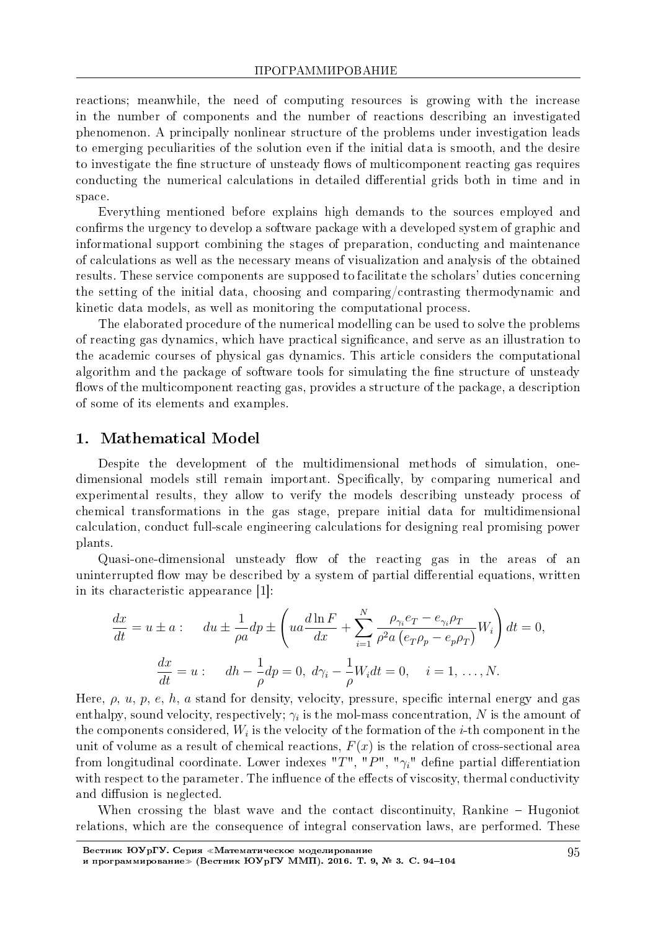reactions; meanwhile, the need of computing resources is growing with the increase in the number of components and the number of reactions describing an investigated phenomenon. A principally nonlinear structure of the problems under investigation leads to emerging peculiarities of the solution even if the initial data is smooth, and the desire to investigate the fine structure of unsteady flows of multicomponent reacting gas requires conducting the numerical calculations in detailed differential grids both in time and in space.

Everything mentioned before explains high demands to the sources employed and confirms the urgency to develop a software package with a developed system of graphic and informational support combining the stages of preparation, conducting and maintenance of calculations as well as the necessary means of visualization and analysis of the obtained results. These service components are supposed to facilitate the scholars' duties concerning the setting of the initial data, choosing and comparing/contrasting thermodynamic and kinetic data models, as well as monitoring the computational process.

The elaborated procedure of the numerical modelling can be used to solve the problems of reacting gas dynamics, which have practical signicance, and serve as an illustration to the academic courses of physical gas dynamics. This article considers the computational algorithm and the package of software tools for simulating the fine structure of unsteady flows of the multicomponent reacting gas, provides a structure of the package, a description of some of its elements and examples.

### 1. Mathematical Model

Despite the development of the multidimensional methods of simulation, onedimensional models still remain important. Specifically, by comparing numerical and experimental results, they allow to verify the models describing unsteady process of chemical transformations in the gas stage, prepare initial data for multidimensional calculation, conduct full-scale engineering calculations for designing real promising power plants.

Quasi-one-dimensional unsteady flow of the reacting gas in the areas of an uninterrupted flow may be described by a system of partial differential equations, written in its characteristic appearance [1]:

$$
\frac{dx}{dt} = u \pm a: \quad du \pm \frac{1}{\rho a} dp \pm \left( ua \frac{d \ln F}{dx} + \sum_{i=1}^{N} \frac{\rho_{\gamma_i} e_T - e_{\gamma_i} \rho_T}{\rho^2 a (e_T \rho_p - e_p \rho_T)} W_i \right) dt = 0,
$$

$$
\frac{dx}{dt} = u: \quad dh - \frac{1}{\rho} dp = 0, \ d\gamma_i - \frac{1}{\rho} W_i dt = 0, \quad i = 1, \dots, N.
$$

Here,  $\rho$ ,  $u$ ,  $p$ ,  $e$ ,  $h$ ,  $a$  stand for density, velocity, pressure, specific internal energy and gas enthalpy, sound velocity, respectively;  $\gamma_i$  is the mol-mass concentration,  $N$  is the amount of the components considered,  $W_i$  is the velocity of the formation of the  $i$ -th component in the unit of volume as a result of chemical reactions,  $F(x)$  is the relation of cross-sectional area from longitudinal coordinate. Lower indexes " $T$ ", " $P$ ", " $\gamma_i$ " define partial differentiation with respect to the parameter. The influence of the effects of viscosity, thermal conductivity and diffusion is neglected.

When crossing the blast wave and the contact discontinuity, Rankine  $-$  Hugoniot relations, which are the consequence of integral conservation laws, are performed. These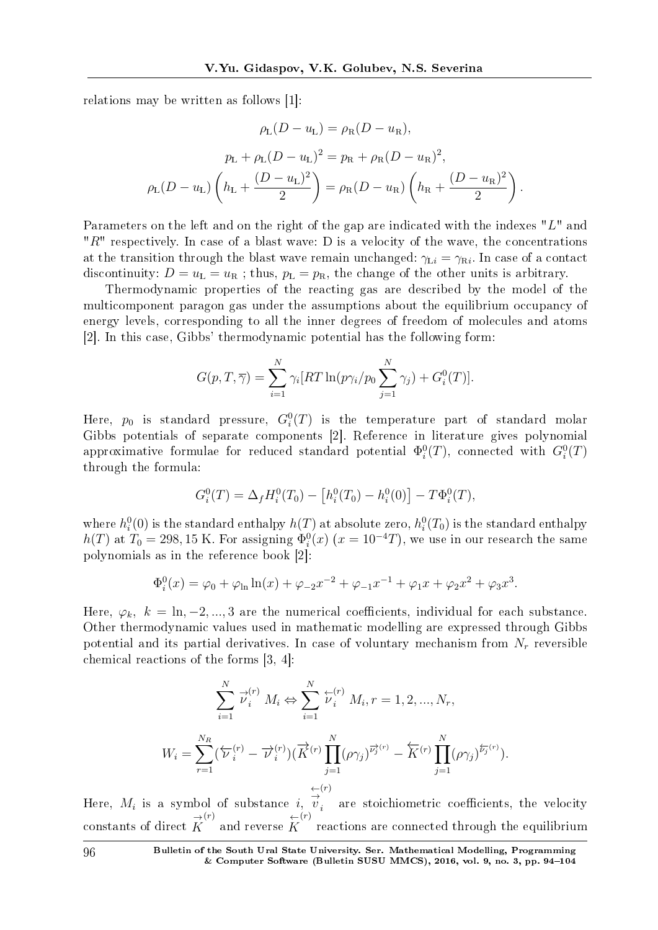relations may be written as follows [1]:

$$
\rho_{\rm L}(D - u_{\rm L}) = \rho_{\rm R}(D - u_{\rm R}),
$$

$$
p_{\rm L} + \rho_{\rm L}(D - u_{\rm L})^2 = p_{\rm R} + \rho_{\rm R}(D - u_{\rm R})^2,
$$

$$
\rho_{\rm L}(D - u_{\rm L}) \left( h_{\rm L} + \frac{(D - u_{\rm L})^2}{2} \right) = \rho_{\rm R}(D - u_{\rm R}) \left( h_{\rm R} + \frac{(D - u_{\rm R})^2}{2} \right).
$$

Parameters on the left and on the right of the gap are indicated with the indexes "*L*" and "*R*" respectively. In case of a blast wave: D is a velocity of the wave, the concentrations at the transition through the blast wave remain unchanged:  $\gamma_{\text{L}i} = \gamma_{\text{R}i}$ . In case of a contact discontinuity:  $D = u_L = u_R$ ; thus,  $p_L = p_R$ , the change of the other units is arbitrary.

Thermodynamic properties of the reacting gas are described by the model of the multicomponent paragon gas under the assumptions about the equilibrium occupancy of energy levels, corresponding to all the inner degrees of freedom of molecules and atoms [2]. In this case, Gibbs' thermodynamic potential has the following form:

$$
G(p,T,\overline{\gamma}) = \sum_{i=1}^{N} \gamma_i [RT \ln(p\gamma_i/p_0 \sum_{j=1}^{N} \gamma_j) + G_i^0(T)].
$$

Here,  $p_0$  is standard pressure,  $G_i^0(T)$  is the temperature part of standard molar Gibbs potentials of separate components [2]. Reference in literature gives polynomial approximative formulae for reduced standard potential  $\Phi_i^0(T)$ , connected with  $G_i^0(T)$ through the formula:

$$
G_i^0(T) = \Delta_f H_i^0(T_0) - [h_i^0(T_0) - h_i^0(0)] - T\Phi_i^0(T),
$$

where  $h_i^0(0)$  is the standard enthalpy  $h(T)$  at absolute zero,  $h_i^0(T_0)$  is the standard enthalpy  $h(T)$  at  $T_0 = 298, 15 \text{ K}$ . For assigning  $\Phi_i^0(x)$  ( $x = 10^{-4}T$ ), we use in our research the same polynomials as in the reference book [2]:

$$
\Phi_i^0(x) = \varphi_0 + \varphi_{\ln} \ln(x) + \varphi_{-2} x^{-2} + \varphi_{-1} x^{-1} + \varphi_1 x + \varphi_2 x^2 + \varphi_3 x^3.
$$

Here,  $\varphi_k$ ,  $k = \ln, -2, \ldots, 3$  are the numerical coefficients, individual for each substance. Other thermodynamic values used in mathematic modelling are expressed through Gibbs potential and its partial derivatives. In case of voluntary mechanism from *N<sup>r</sup>* reversible chemical reactions of the forms [3, 4]:

$$
\sum_{i=1}^{N} \vec{\nu}_{i}^{(r)} M_{i} \Leftrightarrow \sum_{i=1}^{N} \vec{\nu}_{i}^{(r)} M_{i}, r = 1, 2, ..., N_{r},
$$
  

$$
W_{i} = \sum_{r=1}^{N_{R}} (\overleftarrow{\nu}_{i}^{(r)} - \overrightarrow{\nu}_{i}^{(r)}) (\overrightarrow{K}^{(r)} \prod_{j=1}^{N} (\rho \gamma_{j})^{\overrightarrow{\nu}_{j}^{(r)}} - \overleftarrow{K}^{(r)} \prod_{j=1}^{N} (\rho \gamma_{j})^{\overleftarrow{\nu}_{j}^{(r)}}).
$$
  

$$
\leftarrow^{(r)}
$$

Here, *M<sup>i</sup>* is a symbol of substance *i*, *← → v*  $i$  are stoichiometric coefficients, the velocity  $\frac{1}{K}$  constants of direct  $\overrightarrow{K}$  $\overset{(r)}{\sim}$  and reverse  $\overset{\leftarrow}{K}$ (*r*) reactions are connected through the equilibrium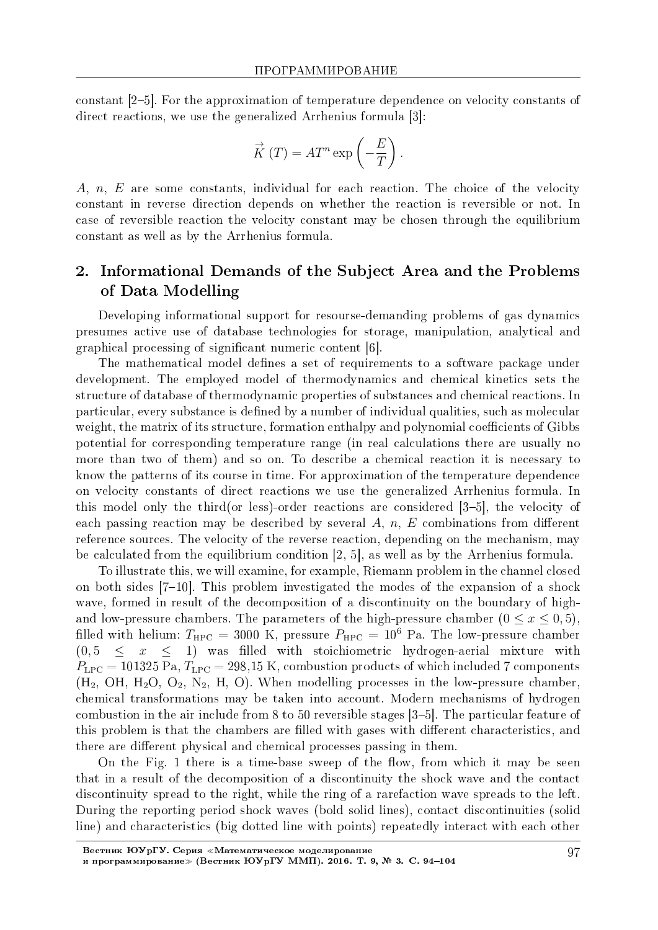constant [25]. For the approximation of temperature dependence on velocity constants of direct reactions, we use the generalized Arrhenius formula [3]:

$$
\stackrel{\rightarrow}{K}(T) = AT^n \exp\left(-\frac{E}{T}\right).
$$

A, *n, E* are some constants, individual for each reaction. The choice of the velocity constant in reverse direction depends on whether the reaction is reversible or not. In case of reversible reaction the velocity constant may be chosen through the equilibrium constant as well as by the Arrhenius formula.

# 2. Informational Demands of the Subject Area and the Problems of Data Modelling

Developing informational support for resourse-demanding problems of gas dynamics presumes active use of database technologies for storage, manipulation, analytical and graphical processing of signicant numeric content [6].

The mathematical model defines a set of requirements to a software package under development. The employed model of thermodynamics and chemical kinetics sets the structure of database of thermodynamic properties of substances and chemical reactions. In particular, every substance is dened by a number of individual qualities, such as molecular weight, the matrix of its structure, formation enthalpy and polynomial coefficients of Gibbs potential for corresponding temperature range (in real calculations there are usually no more than two of them) and so on. To describe a chemical reaction it is necessary to know the patterns of its course in time. For approximation of the temperature dependence on velocity constants of direct reactions we use the generalized Arrhenius formula. In this model only the third(or less)-order reactions are considered  $[3-5]$ , the velocity of each passing reaction may be described by several  $A, n, E$  combinations from different reference sources. The velocity of the reverse reaction, depending on the mechanism, may be calculated from the equilibrium condition [2, 5], as well as by the Arrhenius formula.

To illustrate this, we will examine, for example, Riemann problem in the channel closed on both sides  $[7-10]$ . This problem investigated the modes of the expansion of a shock wave, formed in result of the decomposition of a discontinuity on the boundary of highand low-pressure chambers. The parameters of the high-pressure chamber  $(0 \le x \le 0, 5)$ , filled with helium:  $T_{\text{HPC}} = 3000 \text{ K}$ , pressure  $P_{\text{HPC}} = 10^6 \text{ Pa}$ . The low-pressure chamber  $(0,5 \leq x \leq 1)$  was filled with stoichiometric hydrogen-aerial mixture with  $P_{\text{LPC}} = 101325 \text{ Pa}, T_{\text{LPC}} = 298,15 \text{ K},$  combustion products of which included 7 components  $(H_2, OH, H_2O, O_2, N_2, H, O)$ . When modelling processes in the low-pressure chamber. chemical transformations may be taken into account. Modern mechanisms of hydrogen combustion in the air include from 8 to 50 reversible stages [35]. The particular feature of this problem is that the chambers are filled with gases with different characteristics, and there are different physical and chemical processes passing in them.

On the Fig. 1 there is a time-base sweep of the flow, from which it may be seen that in a result of the decomposition of a discontinuity the shock wave and the contact discontinuity spread to the right, while the ring of a rarefaction wave spreads to the left. During the reporting period shock waves (bold solid lines), contact discontinuities (solid line) and characteristics (big dotted line with points) repeatedly interact with each other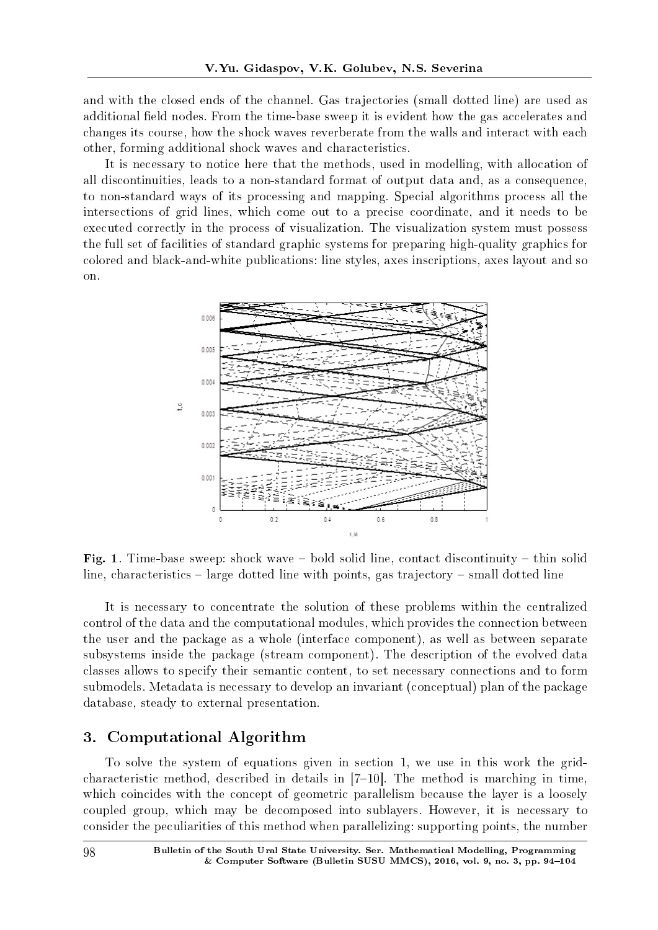and with the closed ends of the channel. Gas trajectories (small dotted line) are used as additional field nodes. From the time-base sweep it is evident how the gas accelerates and changes its course, how the shock waves reverberate from the walls and interact with each other, forming additional shock waves and characteristics.

It is necessary to notice here that the methods, used in modelling, with allocation of all discontinuities, leads to a non-standard format of output data and, as a consequence, to non-standard ways of its processing and mapping. Special algorithms process all the intersections of grid lines, which come out to a precise coordinate, and it needs to be executed correctly in the process of visualization. The visualization system must possess the full set of facilities of standard graphic systems for preparing high-quality graphics for colored and black-and-white publications: line styles, axes inscriptions, axes layout and so on.



Fig. 1. Time-base sweep: shock wave  $-$  bold solid line, contact discontinuity  $-$  thin solid line, characteristics  $-$  large dotted line with points, gas trajectory  $-$  small dotted line

It is necessary to concentrate the solution of these problems within the centralized control of the data and the computational modules, which provides the connection between the user and the package as a whole (interface component), as well as between separate subsystems inside the package (stream component). The description of the evolved data classes allows to specify their semantic content, to set necessary connections and to form submodels. Metadata is necessary to develop an invariant (conceptual) plan of the package database, steady to external presentation.

# 3. Computational Algorithm

To solve the system of equations given in section 1, we use in this work the gridcharacteristic method, described in details in  $[7-10]$ . The method is marching in time, which coincides with the concept of geometric parallelism because the layer is a loosely coupled group, which may be decomposed into sublayers. However, it is necessary to consider the peculiarities of this method when parallelizing: supporting points, the number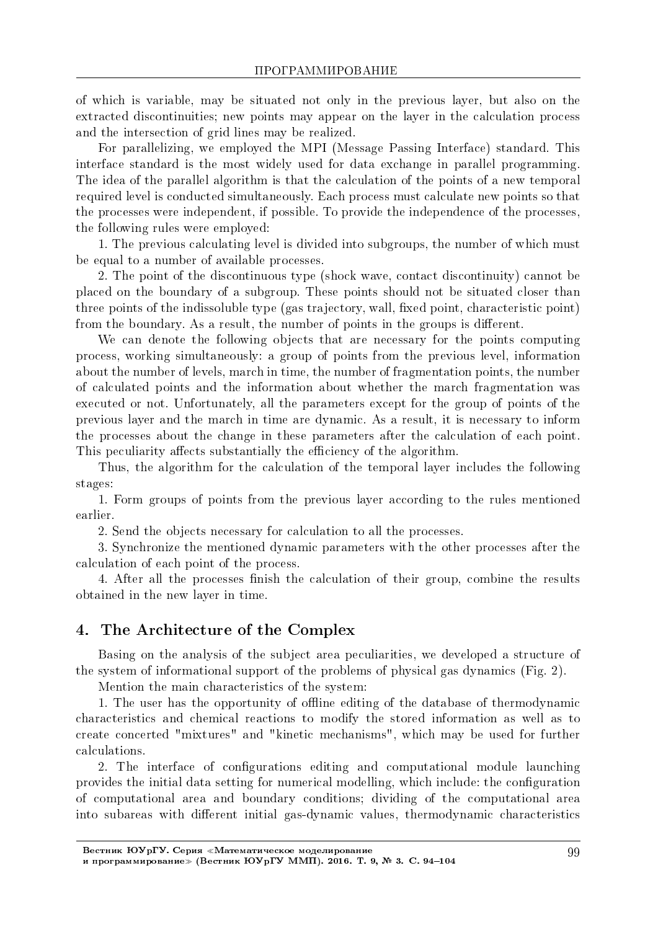of which is variable, may be situated not only in the previous layer, but also on the extracted discontinuities; new points may appear on the layer in the calculation process and the intersection of grid lines may be realized.

For parallelizing, we employed the MPI (Message Passing Interface) standard. This interface standard is the most widely used for data exchange in parallel programming. The idea of the parallel algorithm is that the calculation of the points of a new temporal required level is conducted simultaneously. Each process must calculate new points so that the processes were independent, if possible. To provide the independence of the processes, the following rules were employed:

1. The previous calculating level is divided into subgroups, the number of which must be equal to a number of available processes.

2. The point of the discontinuous type (shock wave, contact discontinuity) cannot be placed on the boundary of a subgroup. These points should not be situated closer than three points of the indissoluble type (gas trajectory, wall, fixed point, characteristic point) from the boundary. As a result, the number of points in the groups is different.

We can denote the following objects that are necessary for the points computing process, working simultaneously: a group of points from the previous level, information about the number of levels, march in time, the number of fragmentation points, the number of calculated points and the information about whether the march fragmentation was executed or not. Unfortunately, all the parameters except for the group of points of the previous layer and the march in time are dynamic. As a result, it is necessary to inform the processes about the change in these parameters after the calculation of each point. This peculiarity affects substantially the efficiency of the algorithm.

Thus, the algorithm for the calculation of the temporal layer includes the following stages:

1. Form groups of points from the previous layer according to the rules mentioned earlier.

2. Send the objects necessary for calculation to all the processes.

3. Synchronize the mentioned dynamic parameters with the other processes after the calculation of each point of the process.

4. After all the processes nish the calculation of their group, combine the results obtained in the new layer in time.

### 4. The Architecture of the Complex

Basing on the analysis of the subject area peculiarities, we developed a structure of the system of informational support of the problems of physical gas dynamics (Fig. 2).

Mention the main characteristics of the system:

1. The user has the opportunity of offline editing of the database of thermodynamic characteristics and chemical reactions to modify the stored information as well as to create concerted "mixtures" and "kinetic mechanisms", which may be used for further calculations.

2. The interface of configurations editing and computational module launching provides the initial data setting for numerical modelling, which include: the conguration of computational area and boundary conditions; dividing of the computational area into subareas with different initial gas-dynamic values, thermodynamic characteristics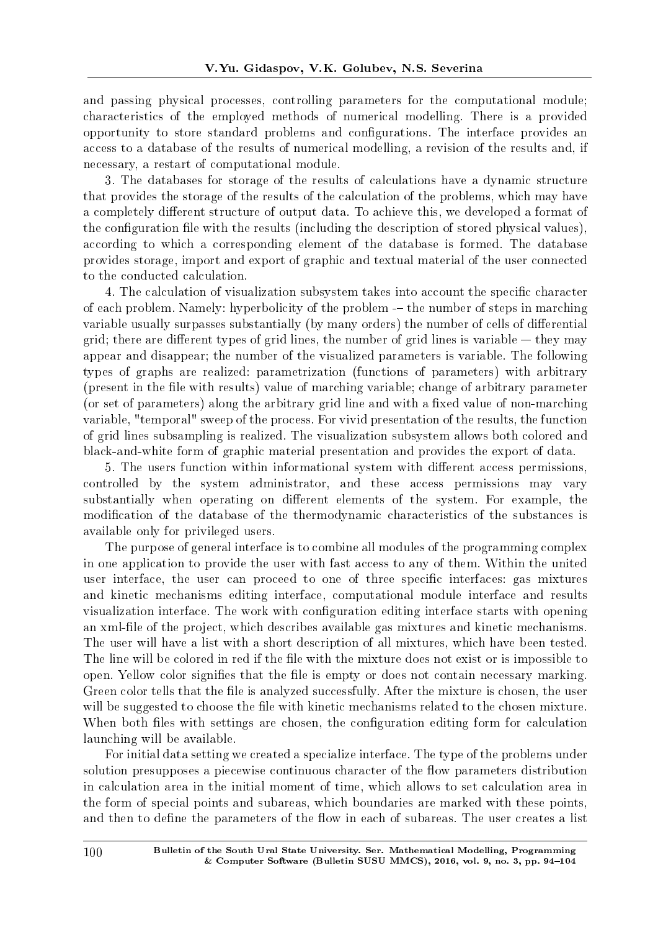and passing physical processes, controlling parameters for the computational module; characteristics of the employed methods of numerical modelling. There is a provided opportunity to store standard problems and congurations. The interface provides an access to a database of the results of numerical modelling, a revision of the results and, if necessary, a restart of computational module.

3. The databases for storage of the results of calculations have a dynamic structure that provides the storage of the results of the calculation of the problems, which may have a completely different structure of output data. To achieve this, we developed a format of the configuration file with the results (including the description of stored physical values), according to which a corresponding element of the database is formed. The database provides storage, import and export of graphic and textual material of the user connected to the conducted calculation.

4. The calculation of visualization subsystem takes into account the specific character of each problem. Namely: hyperbolicity of the problem  $-$  the number of steps in marching variable usually surpasses substantially (by many orders) the number of cells of differential grid; there are different types of grid lines, the number of grid lines is variable  $-$  they may appear and disappear; the number of the visualized parameters is variable. The following types of graphs are realized: parametrization (functions of parameters) with arbitrary (present in the file with results) value of marching variable; change of arbitrary parameter (or set of parameters) along the arbitrary grid line and with a fixed value of non-marching variable, "temporal" sweep of the process. For vivid presentation of the results, the function of grid lines subsampling is realized. The visualization subsystem allows both colored and black-and-white form of graphic material presentation and provides the export of data.

5. The users function within informational system with different access permissions, controlled by the system administrator, and these access permissions may vary substantially when operating on different elements of the system. For example, the modification of the database of the thermodynamic characteristics of the substances is available only for privileged users.

The purpose of general interface is to combine all modules of the programming complex in one application to provide the user with fast access to any of them. Within the united user interface, the user can proceed to one of three specific interfaces: gas mixtures and kinetic mechanisms editing interface, computational module interface and results visualization interface. The work with configuration editing interface starts with opening an xml-file of the project, which describes available gas mixtures and kinetic mechanisms. The user will have a list with a short description of all mixtures, which have been tested. The line will be colored in red if the file with the mixture does not exist or is impossible to open. Yellow color signifies that the file is empty or does not contain necessary marking. Green color tells that the file is analyzed successfully. After the mixture is chosen, the user will be suggested to choose the file with kinetic mechanisms related to the chosen mixture. When both files with settings are chosen, the configuration editing form for calculation launching will be available.

For initial data setting we created a specialize interface. The type of the problems under solution presupposes a piecewise continuous character of the flow parameters distribution in calculation area in the initial moment of time, which allows to set calculation area in the form of special points and subareas, which boundaries are marked with these points, and then to define the parameters of the flow in each of subareas. The user creates a list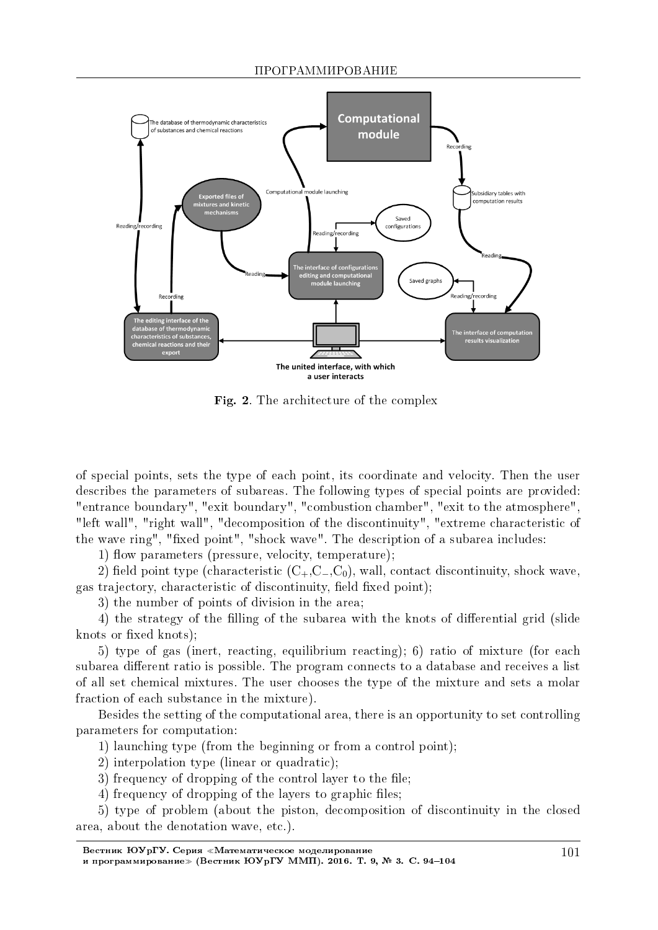

Fig. 2. The architecture of the complex

of special points, sets the type of each point, its coordinate and velocity. Then the user describes the parameters of subareas. The following types of special points are provided: "entrance boundary", "exit boundary", "combustion chamber", "exit to the atmosphere", "left wall", "right wall", "decomposition of the discontinuity", "extreme characteristic of the wave ring", "fixed point", "shock wave". The description of a subarea includes:

1) flow parameters (pressure, velocity, temperature);

2) field point type (characteristic (C<sub>+</sub>,C<sub>−</sub>,C<sub>0</sub>), wall, contact discontinuity, shock wave, gas trajectory, characteristic of discontinuity, field fixed point);

3) the number of points of division in the area;

4) the strategy of the filling of the subarea with the knots of differential grid (slide knots or fixed knots);

5) type of gas (inert, reacting, equilibrium reacting); 6) ratio of mixture (for each subarea different ratio is possible. The program connects to a database and receives a list of all set chemical mixtures. The user chooses the type of the mixture and sets a molar fraction of each substance in the mixture).

Besides the setting of the computational area, there is an opportunity to set controlling parameters for computation:

1) launching type (from the beginning or from a control point);

2) interpolation type (linear or quadratic);

3) frequency of dropping of the control layer to the file;

4) frequency of dropping of the layers to graphic files;

5) type of problem (about the piston, decomposition of discontinuity in the closed area, about the denotation wave, etc.).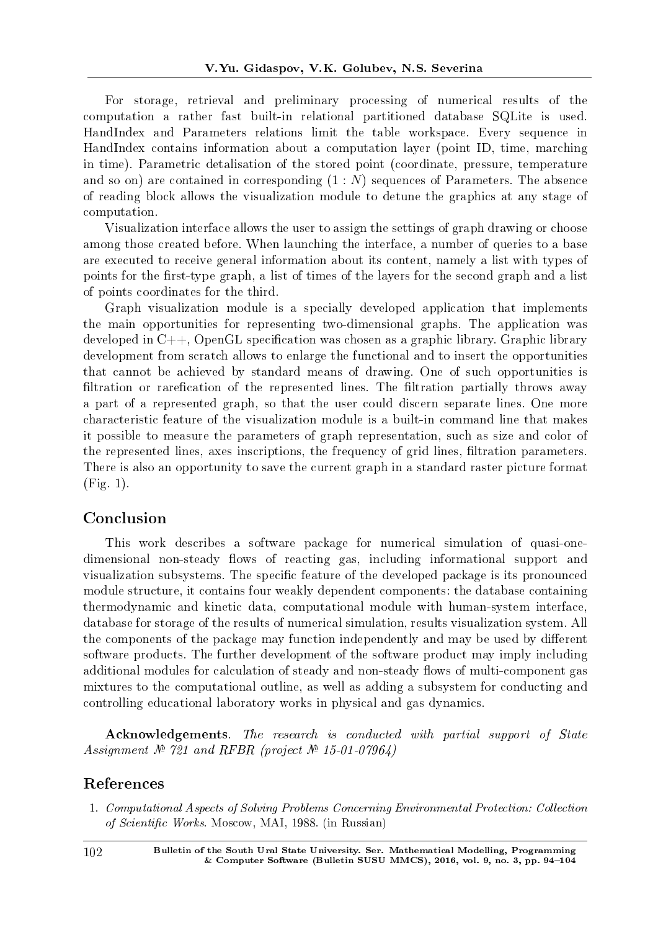For storage, retrieval and preliminary processing of numerical results of the computation a rather fast built-in relational partitioned database SQLite is used. HandIndex and Parameters relations limit the table workspace. Every sequence in HandIndex contains information about a computation layer (point ID, time, marching in time). Parametric detalisation of the stored point (coordinate, pressure, temperature and so on) are contained in corresponding (1 : *N*) sequences of Parameters. The absence of reading block allows the visualization module to detune the graphics at any stage of computation.

Visualization interface allows the user to assign the settings of graph drawing or choose among those created before. When launching the interface, a number of queries to a base are executed to receive general information about its content, namely a list with types of points for the first-type graph, a list of times of the layers for the second graph and a list of points coordinates for the third.

Graph visualization module is a specially developed application that implements the main opportunities for representing two-dimensional graphs. The application was developed in  $C_{++}$ , OpenGL specification was chosen as a graphic library. Graphic library development from scratch allows to enlarge the functional and to insert the opportunities that cannot be achieved by standard means of drawing. One of such opportunities is filtration or rarefication of the represented lines. The filtration partially throws away a part of a represented graph, so that the user could discern separate lines. One more characteristic feature of the visualization module is a built-in command line that makes it possible to measure the parameters of graph representation, such as size and color of the represented lines, axes inscriptions, the frequency of grid lines, filtration parameters. There is also an opportunity to save the current graph in a standard raster picture format (Fig. 1).

# Conclusion

This work describes a software package for numerical simulation of quasi-onedimensional non-steady flows of reacting gas, including informational support and visualization subsystems. The specific feature of the developed package is its pronounced module structure, it contains four weakly dependent components: the database containing thermodynamic and kinetic data, computational module with human-system interface, database for storage of the results of numerical simulation, results visualization system. All the components of the package may function independently and may be used by different software products. The further development of the software product may imply including additional modules for calculation of steady and non-steady flows of multi-component gas mixtures to the computational outline, as well as adding a subsystem for conducting and controlling educational laboratory works in physical and gas dynamics.

Acknowledgements. The research is conducted with partial support of State Assignment  $N^2$  721 and RFBR (project  $N^2$  15-01-07964)

### References

1. Computational Aspects of Solving Problems Concerning Environmental Protection: Collection of Scientific Works. Moscow, MAI, 1988. (in Russian)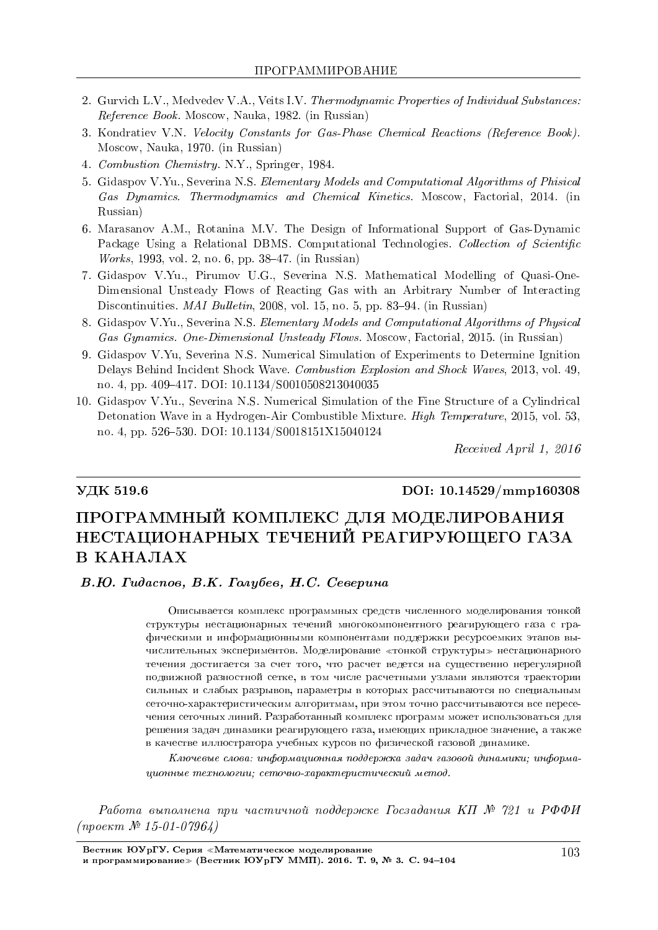- 2. Gurvich L.V., Medvedev V.A., Veits I.V. Thermodynamic Properties of Individual Substances: Reference Book. Moscow, Nauka, 1982. (in Russian)
- 3. Kondratiev V.N. Velocity Constants for Gas-Phase Chemical Reactions (Reference Book). Moscow, Nauka, 1970. (in Russian)
- 4. Combustion Chemistry. N.Y., Springer, 1984.
- 5. Gidaspov V.Yu., Severina N.S. Elementary Models and Computational Algorithms of Phisical Gas Dynamics. Thermodynamics and Chemical Kinetics. Moscow, Factorial, 2014. (in Russian)
- 6. Marasanov A.M., Rotanina M.V. The Design of Informational Support of Gas-Dynamic Package Using a Relational DBMS. Computational Technologies. Collection of Scientific Works, 1993, vol. 2, no. 6, pp. 38–47. (in Russian)
- 7. Gidaspov V.Yu., Pirumov U.G., Severina N.S. Mathematical Modelling of Quasi-One-Dimensional Unsteady Flows of Reacting Gas with an Arbitrary Number of Interacting Discontinuities. *MAI Bulletin*, 2008, vol. 15, no. 5, pp. 83–94. (in Russian)
- 8. Gidaspov V.Yu., Severina N.S. Elementary Models and Computational Algorithms of Physical Gas Gynamics. One-Dimensional Unsteady Flows. Moscow, Factorial, 2015. (in Russian)
- 9. Gidaspov V.Yu, Severina N.S. Numerical Simulation of Experiments to Determine Ignition Delays Behind Incident Shock Wave. Combustion Explosion and Shock Waves, 2013, vol. 49, no. 4, pp. 409-417. DOI: 10.1134/S0010508213040035
- 10. Gidaspov V.Yu., Severina N.S. Numerical Simulation of the Fine Structure of a Cylindrical Detonation Wave in a Hydrogen-Air Combustible Mixture. High Temperature, 2015, vol. 53, no. 4, pp. 526-530. DOI: 10.1134/S0018151X15040124

Received April 1, 2016

### VДК 519.6 DOI: 10.14529/mmp160308

# ПРОГРАММНЫЙ КОМПЛЕКС ДЛЯ МОДЕЛИРОВАНИЯ НЕСТАЦИОНАРНЫХ ТЕЧЕНИЙ РЕАГИРУЮШЕГО ГАЗА **В КАНАЛАХ**

#### В.Ю. Гидаспов, В.К. Голубев, Н.С. Северина

Описывается комплекс программных средств численного моделирования тонкой структуры нестационарных течений многокомпонентного реагирующего газа с графическими и информационными компонентами поддержки ресурсоемких этапов вычислительных экспериментов. Моделирование «тонкой структуры» нестационарного течения достигается за счет того, что расчет ведется на существенно нерегулярной подвижной разностной сетке, в том числе расчетными узлами являются траектории сильных и слабых разрывов, параметры в которых рассчитываются по специальным сеточно-характеристическим алгоритмам, при этом точно рассчитываются все пересечения сеточных линий. Разработанный комплекс программ может использоваться для решения задач динамики реагирующего газа, имеющих прикладное значение, а также в качестве иллюстратора учебных курсов по физической газовой динамике.

 $K$ лючевые слова: информационная поддержка задач газовой динамики; информа $uu$ онные технологии: сеточно-характеристический метод.

Работа выполнена при частичной поддержке Госзадания КП  $N^2$  721 и РФФИ  $(npoekm \mathcal{N}$  15-01-07964)